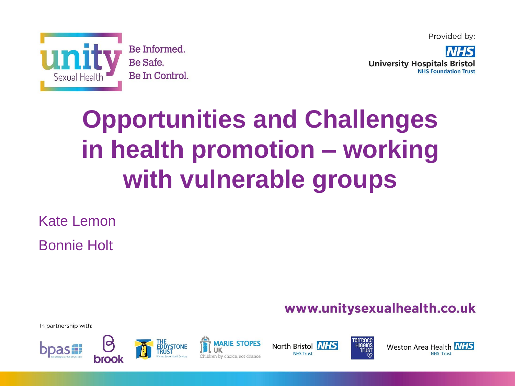



# **Opportunities and Challenges in health promotion – working with vulnerable groups**

Kate Lemon Bonnie Holt

www.unitysexualhealth.co.uk

In partnership with:







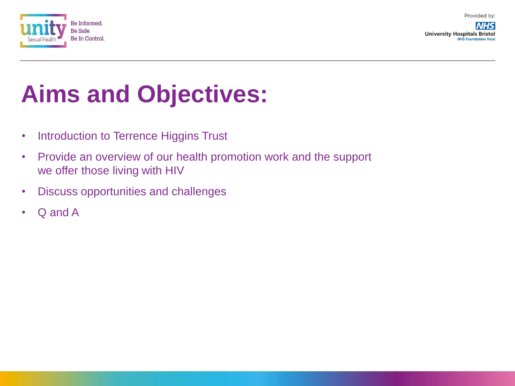

**NHS University Hospitals Bristol NHS Foundation Trust** 

## **Aims and Objectives:**

- Introduction to Terrence Higgins Trust
- Provide an overview of our health promotion work and the support we offer those living with HIV
- Discuss opportunities and challenges
- Q and A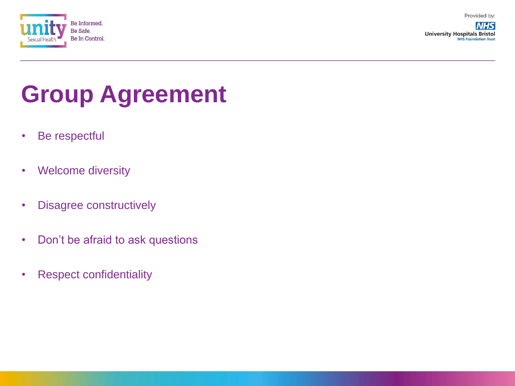

**NHS University Hospitals Bristol NHS Foundation Trust** 

## **Group Agreement**

- Be respectful
- Welcome diversity
- Disagree constructively
- Don't be afraid to ask questions
- Respect confidentiality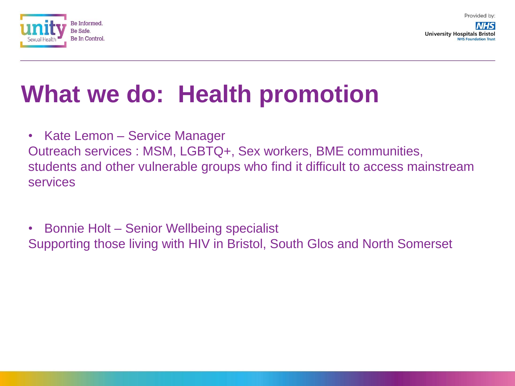

**University Hospitals Bristo NHS Foundation Trust** 

### **What we do: Health promotion**

• Kate Lemon – Service Manager

Outreach services : MSM, LGBTQ+, Sex workers, BME communities, students and other vulnerable groups who find it difficult to access mainstream services

• Bonnie Holt – Senior Wellbeing specialist Supporting those living with HIV in Bristol, South Glos and North Somerset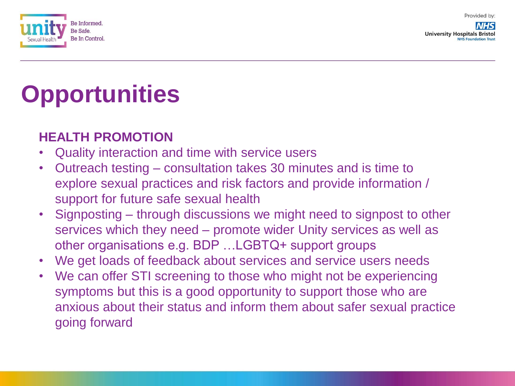

**University Hospitals Bristol NHS Foundation Trust** 

# **Opportunities**

#### **HEALTH PROMOTION**

- Quality interaction and time with service users
- Outreach testing consultation takes 30 minutes and is time to explore sexual practices and risk factors and provide information / support for future safe sexual health
- Signposting through discussions we might need to signpost to other services which they need – promote wider Unity services as well as other organisations e.g. BDP …LGBTQ+ support groups
- We get loads of feedback about services and service users needs
- We can offer STI screening to those who might not be experiencing symptoms but this is a good opportunity to support those who are anxious about their status and inform them about safer sexual practice going forward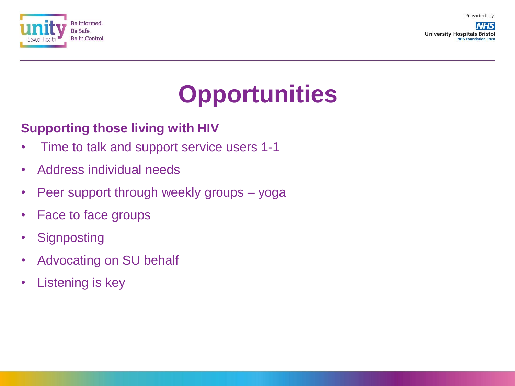

**NHS University Hospitals Bristol NHS Foundation Trust** 

## **Opportunities**

#### **Supporting those living with HIV**

- Time to talk and support service users 1-1
- Address individual needs
- Peer support through weekly groups yoga
- Face to face groups
- Signposting
- Advocating on SU behalf
- Listening is key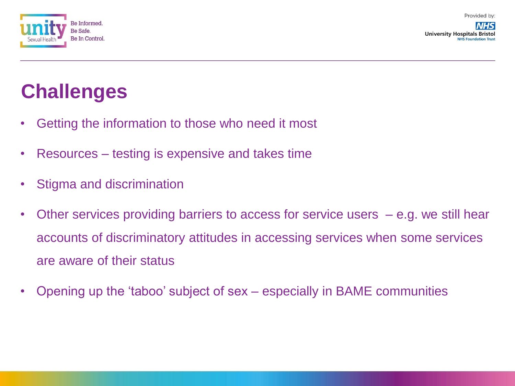

**University Hospitals Bristo NHS Foundation Trus** 

#### **Challenges**

- Getting the information to those who need it most
- Resources testing is expensive and takes time
- Stigma and discrimination
- Other services providing barriers to access for service users e.g. we still hear accounts of discriminatory attitudes in accessing services when some services are aware of their status
- Opening up the 'taboo' subject of sex especially in BAME communities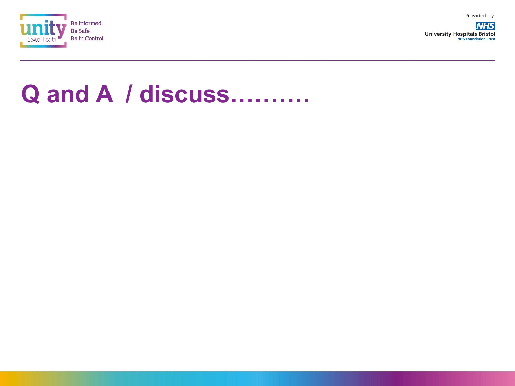

**NHS University Hospitals Bristol NHS Foundation Trust** 

#### **Q and A / discuss……….**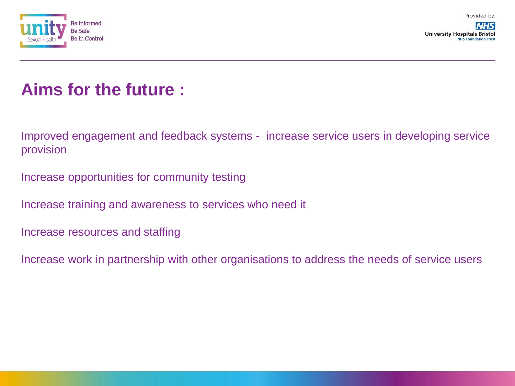



**University Hospitals Bristo NHS Foundation Trust** 

#### **Aims for the future :**

Improved engagement and feedback systems - increase service users in developing service provision

Increase opportunities for community testing

Increase training and awareness to services who need it

Increase resources and staffing

Increase work in partnership with other organisations to address the needs of service users